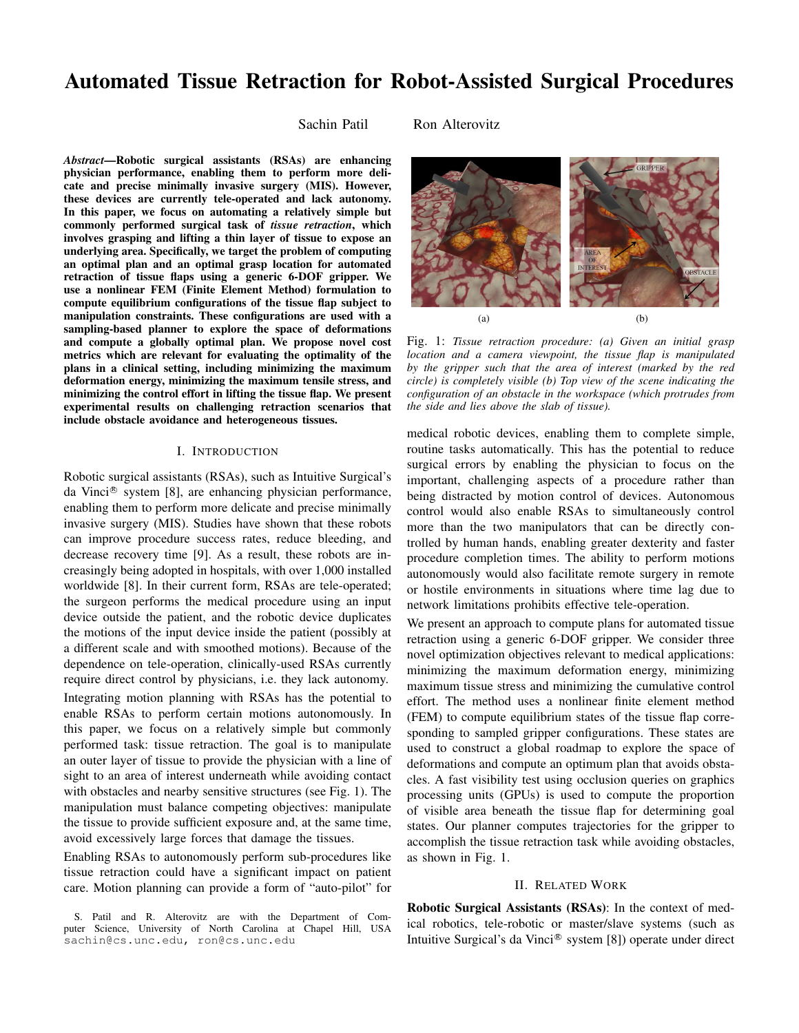# Automated Tissue Retraction for Robot-Assisted Surgical Procedures

Sachin Patil Ron Alterovitz

*Abstract*—Robotic surgical assistants (RSAs) are enhancing physician performance, enabling them to perform more delicate and precise minimally invasive surgery (MIS). However, these devices are currently tele-operated and lack autonomy. In this paper, we focus on automating a relatively simple but commonly performed surgical task of *tissue retraction*, which involves grasping and lifting a thin layer of tissue to expose an underlying area. Specifically, we target the problem of computing an optimal plan and an optimal grasp location for automated retraction of tissue flaps using a generic 6-DOF gripper. We use a nonlinear FEM (Finite Element Method) formulation to compute equilibrium configurations of the tissue flap subject to manipulation constraints. These configurations are used with a sampling-based planner to explore the space of deformations and compute a globally optimal plan. We propose novel cost metrics which are relevant for evaluating the optimality of the plans in a clinical setting, including minimizing the maximum deformation energy, minimizing the maximum tensile stress, and minimizing the control effort in lifting the tissue flap. We present experimental results on challenging retraction scenarios that include obstacle avoidance and heterogeneous tissues.

# I. INTRODUCTION

Robotic surgical assistants (RSAs), such as Intuitive Surgical's da Vinci<sup>®</sup> system [8], are enhancing physician performance, enabling them to perform more delicate and precise minimally invasive surgery (MIS). Studies have shown that these robots can improve procedure success rates, reduce bleeding, and decrease recovery time [9]. As a result, these robots are increasingly being adopted in hospitals, with over 1,000 installed worldwide [8]. In their current form, RSAs are tele-operated; the surgeon performs the medical procedure using an input device outside the patient, and the robotic device duplicates the motions of the input device inside the patient (possibly at a different scale and with smoothed motions). Because of the dependence on tele-operation, clinically-used RSAs currently require direct control by physicians, i.e. they lack autonomy. Integrating motion planning with RSAs has the potential to enable RSAs to perform certain motions autonomously. In this paper, we focus on a relatively simple but commonly performed task: tissue retraction. The goal is to manipulate an outer layer of tissue to provide the physician with a line of sight to an area of interest underneath while avoiding contact with obstacles and nearby sensitive structures (see Fig. 1). The manipulation must balance competing objectives: manipulate the tissue to provide sufficient exposure and, at the same time, avoid excessively large forces that damage the tissues.

Enabling RSAs to autonomously perform sub-procedures like tissue retraction could have a significant impact on patient care. Motion planning can provide a form of "auto-pilot" for

S. Patil and R. Alterovitz are with the Department of Computer Science, University of North Carolina at Chapel Hill, USA sachin@cs.unc.edu, ron@cs.unc.edu

 $(a)$  (b)

Fig. 1: *Tissue retraction procedure: (a) Given an initial grasp location and a camera viewpoint, the tissue flap is manipulated by the gripper such that the area of interest (marked by the red circle) is completely visible (b) Top view of the scene indicating the configuration of an obstacle in the workspace (which protrudes from the side and lies above the slab of tissue).*

medical robotic devices, enabling them to complete simple, routine tasks automatically. This has the potential to reduce surgical errors by enabling the physician to focus on the important, challenging aspects of a procedure rather than being distracted by motion control of devices. Autonomous control would also enable RSAs to simultaneously control more than the two manipulators that can be directly controlled by human hands, enabling greater dexterity and faster procedure completion times. The ability to perform motions autonomously would also facilitate remote surgery in remote or hostile environments in situations where time lag due to network limitations prohibits effective tele-operation.

We present an approach to compute plans for automated tissue retraction using a generic 6-DOF gripper. We consider three novel optimization objectives relevant to medical applications: minimizing the maximum deformation energy, minimizing maximum tissue stress and minimizing the cumulative control effort. The method uses a nonlinear finite element method (FEM) to compute equilibrium states of the tissue flap corresponding to sampled gripper configurations. These states are used to construct a global roadmap to explore the space of deformations and compute an optimum plan that avoids obstacles. A fast visibility test using occlusion queries on graphics processing units (GPUs) is used to compute the proportion of visible area beneath the tissue flap for determining goal states. Our planner computes trajectories for the gripper to accomplish the tissue retraction task while avoiding obstacles, as shown in Fig. 1.

# II. RELATED WORK

Robotic Surgical Assistants (RSAs): In the context of medical robotics, tele-robotic or master/slave systems (such as Intuitive Surgical's da Vinci® system [8]) operate under direct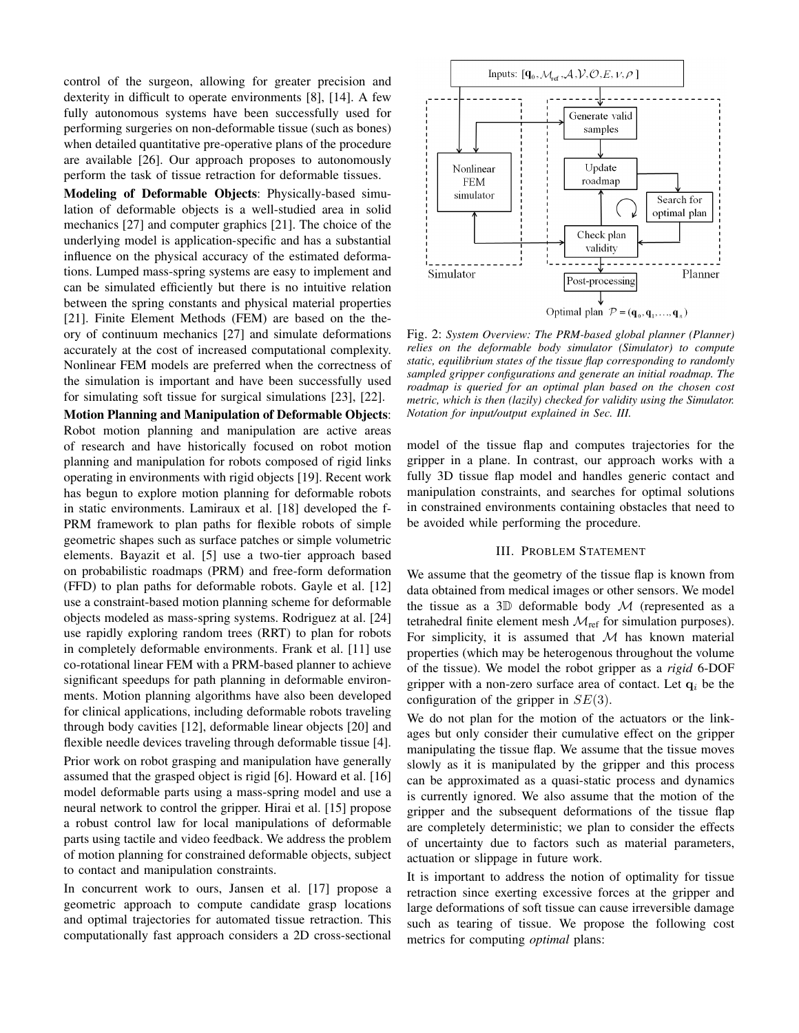control of the surgeon, allowing for greater precision and dexterity in difficult to operate environments [8], [14]. A few fully autonomous systems have been successfully used for performing surgeries on non-deformable tissue (such as bones) when detailed quantitative pre-operative plans of the procedure are available [26]. Our approach proposes to autonomously perform the task of tissue retraction for deformable tissues.

Modeling of Deformable Objects: Physically-based simulation of deformable objects is a well-studied area in solid mechanics [27] and computer graphics [21]. The choice of the underlying model is application-specific and has a substantial influence on the physical accuracy of the estimated deformations. Lumped mass-spring systems are easy to implement and can be simulated efficiently but there is no intuitive relation between the spring constants and physical material properties [21]. Finite Element Methods (FEM) are based on the theory of continuum mechanics [27] and simulate deformations accurately at the cost of increased computational complexity. Nonlinear FEM models are preferred when the correctness of the simulation is important and have been successfully used for simulating soft tissue for surgical simulations [23], [22].

Motion Planning and Manipulation of Deformable Objects: Robot motion planning and manipulation are active areas of research and have historically focused on robot motion planning and manipulation for robots composed of rigid links operating in environments with rigid objects [19]. Recent work has begun to explore motion planning for deformable robots in static environments. Lamiraux et al. [18] developed the f-PRM framework to plan paths for flexible robots of simple geometric shapes such as surface patches or simple volumetric elements. Bayazit et al. [5] use a two-tier approach based on probabilistic roadmaps (PRM) and free-form deformation (FFD) to plan paths for deformable robots. Gayle et al. [12] use a constraint-based motion planning scheme for deformable objects modeled as mass-spring systems. Rodriguez at al. [24] use rapidly exploring random trees (RRT) to plan for robots in completely deformable environments. Frank et al. [11] use co-rotational linear FEM with a PRM-based planner to achieve significant speedups for path planning in deformable environments. Motion planning algorithms have also been developed for clinical applications, including deformable robots traveling through body cavities [12], deformable linear objects [20] and flexible needle devices traveling through deformable tissue [4]. Prior work on robot grasping and manipulation have generally assumed that the grasped object is rigid [6]. Howard et al. [16] model deformable parts using a mass-spring model and use a neural network to control the gripper. Hirai et al. [15] propose a robust control law for local manipulations of deformable parts using tactile and video feedback. We address the problem of motion planning for constrained deformable objects, subject to contact and manipulation constraints.

In concurrent work to ours, Jansen et al. [17] propose a geometric approach to compute candidate grasp locations and optimal trajectories for automated tissue retraction. This computationally fast approach considers a 2D cross-sectional



Fig. 2: *System Overview: The PRM-based global planner (Planner) relies on the deformable body simulator (Simulator) to compute static, equilibrium states of the tissue flap corresponding to randomly sampled gripper configurations and generate an initial roadmap. The roadmap is queried for an optimal plan based on the chosen cost metric, which is then (lazily) checked for validity using the Simulator. Notation for input/output explained in Sec. III.*

model of the tissue flap and computes trajectories for the gripper in a plane. In contrast, our approach works with a fully 3D tissue flap model and handles generic contact and manipulation constraints, and searches for optimal solutions in constrained environments containing obstacles that need to be avoided while performing the procedure.

# III. PROBLEM STATEMENT

We assume that the geometry of the tissue flap is known from data obtained from medical images or other sensors. We model the tissue as a 3 $D$  deformable body  $M$  (represented as a tetrahedral finite element mesh  $\mathcal{M}_{ref}$  for simulation purposes). For simplicity, it is assumed that  $M$  has known material properties (which may be heterogenous throughout the volume of the tissue). We model the robot gripper as a *rigid* 6-DOF gripper with a non-zero surface area of contact. Let  $q_i$  be the configuration of the gripper in  $SE(3)$ .

We do not plan for the motion of the actuators or the linkages but only consider their cumulative effect on the gripper manipulating the tissue flap. We assume that the tissue moves slowly as it is manipulated by the gripper and this process can be approximated as a quasi-static process and dynamics is currently ignored. We also assume that the motion of the gripper and the subsequent deformations of the tissue flap are completely deterministic; we plan to consider the effects of uncertainty due to factors such as material parameters, actuation or slippage in future work.

It is important to address the notion of optimality for tissue retraction since exerting excessive forces at the gripper and large deformations of soft tissue can cause irreversible damage such as tearing of tissue. We propose the following cost metrics for computing *optimal* plans: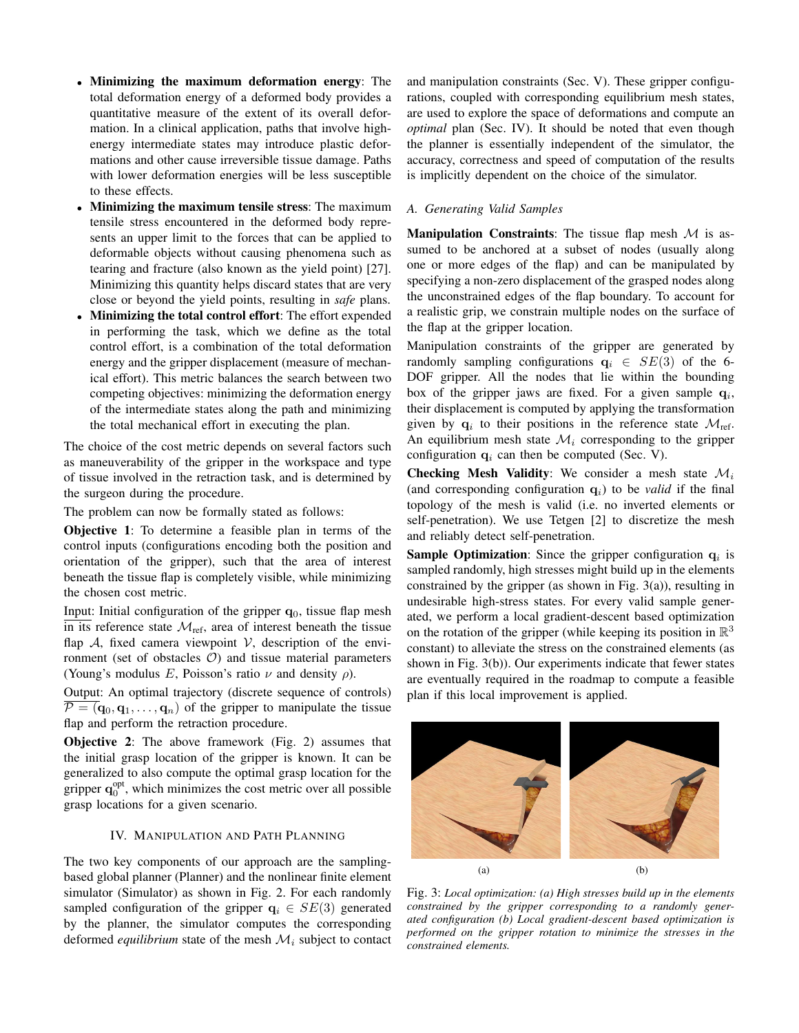- Minimizing the maximum deformation energy: The total deformation energy of a deformed body provides a quantitative measure of the extent of its overall deformation. In a clinical application, paths that involve highenergy intermediate states may introduce plastic deformations and other cause irreversible tissue damage. Paths with lower deformation energies will be less susceptible to these effects.
- Minimizing the maximum tensile stress: The maximum tensile stress encountered in the deformed body represents an upper limit to the forces that can be applied to deformable objects without causing phenomena such as tearing and fracture (also known as the yield point) [27]. Minimizing this quantity helps discard states that are very close or beyond the yield points, resulting in *safe* plans.
- Minimizing the total control effort: The effort expended in performing the task, which we define as the total control effort, is a combination of the total deformation energy and the gripper displacement (measure of mechanical effort). This metric balances the search between two competing objectives: minimizing the deformation energy of the intermediate states along the path and minimizing the total mechanical effort in executing the plan.

The choice of the cost metric depends on several factors such as maneuverability of the gripper in the workspace and type of tissue involved in the retraction task, and is determined by the surgeon during the procedure.

The problem can now be formally stated as follows:

Objective 1: To determine a feasible plan in terms of the control inputs (configurations encoding both the position and orientation of the gripper), such that the area of interest beneath the tissue flap is completely visible, while minimizing the chosen cost metric.

Input: Initial configuration of the gripper  $q_0$ , tissue flap mesh  $\overline{\text{in its}}$  reference state  $\mathcal{M}_{\text{ref}}$ , area of interest beneath the tissue flap  $\mathcal{A}$ , fixed camera viewpoint  $\mathcal{V}$ , description of the environment (set of obstacles  $O$ ) and tissue material parameters (Young's modulus E, Poisson's ratio  $\nu$  and density  $\rho$ ).

Output: An optimal trajectory (discrete sequence of controls)  $P = (\mathbf{q}_0, \mathbf{q}_1, \dots, \mathbf{q}_n)$  of the gripper to manipulate the tissue flap and perform the retraction procedure.

Objective 2: The above framework (Fig. 2) assumes that the initial grasp location of the gripper is known. It can be generalized to also compute the optimal grasp location for the gripper  $\mathbf{q}_0^{\text{opt}}$ , which minimizes the cost metric over all possible grasp locations for a given scenario.

# IV. MANIPULATION AND PATH PLANNING

The two key components of our approach are the samplingbased global planner (Planner) and the nonlinear finite element simulator (Simulator) as shown in Fig. 2. For each randomly sampled configuration of the gripper  $q_i \in SE(3)$  generated by the planner, the simulator computes the corresponding deformed *equilibrium* state of the mesh  $\mathcal{M}_i$  subject to contact

and manipulation constraints (Sec. V). These gripper configurations, coupled with corresponding equilibrium mesh states, are used to explore the space of deformations and compute an *optimal* plan (Sec. IV). It should be noted that even though the planner is essentially independent of the simulator, the accuracy, correctness and speed of computation of the results is implicitly dependent on the choice of the simulator.

# *A. Generating Valid Samples*

**Manipulation Constraints:** The tissue flap mesh  $M$  is assumed to be anchored at a subset of nodes (usually along one or more edges of the flap) and can be manipulated by specifying a non-zero displacement of the grasped nodes along the unconstrained edges of the flap boundary. To account for a realistic grip, we constrain multiple nodes on the surface of the flap at the gripper location.

Manipulation constraints of the gripper are generated by randomly sampling configurations  $q_i \in SE(3)$  of the 6-DOF gripper. All the nodes that lie within the bounding box of the gripper jaws are fixed. For a given sample  $q_i$ , their displacement is computed by applying the transformation given by  $\mathbf{q}_i$  to their positions in the reference state  $\mathcal{M}_{ref}$ . An equilibrium mesh state  $\mathcal{M}_i$  corresponding to the gripper configuration  $q_i$  can then be computed (Sec. V).

**Checking Mesh Validity:** We consider a mesh state  $\mathcal{M}_i$ (and corresponding configuration  $q_i$ ) to be *valid* if the final topology of the mesh is valid (i.e. no inverted elements or self-penetration). We use Tetgen [2] to discretize the mesh and reliably detect self-penetration.

**Sample Optimization:** Since the gripper configuration  $q_i$  is sampled randomly, high stresses might build up in the elements constrained by the gripper (as shown in Fig.  $3(a)$ ), resulting in undesirable high-stress states. For every valid sample generated, we perform a local gradient-descent based optimization on the rotation of the gripper (while keeping its position in  $\mathbb{R}^3$ constant) to alleviate the stress on the constrained elements (as shown in Fig. 3(b)). Our experiments indicate that fewer states are eventually required in the roadmap to compute a feasible plan if this local improvement is applied.



Fig. 3: *Local optimization: (a) High stresses build up in the elements constrained by the gripper corresponding to a randomly generated configuration (b) Local gradient-descent based optimization is performed on the gripper rotation to minimize the stresses in the constrained elements.*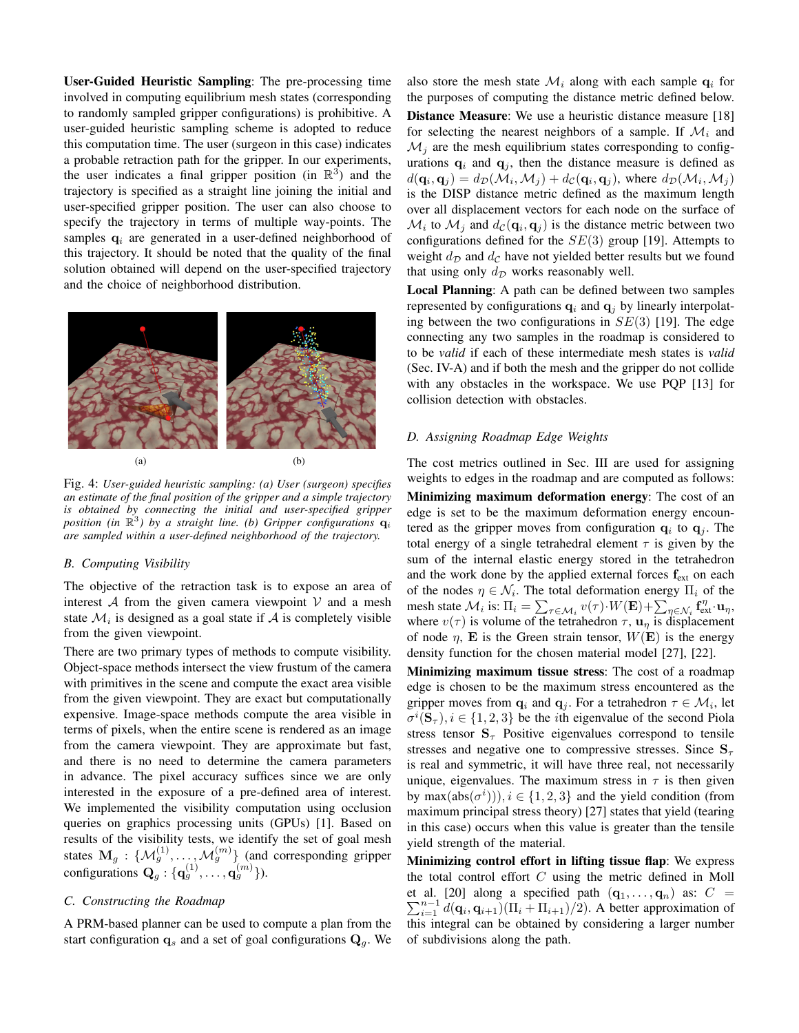User-Guided Heuristic Sampling: The pre-processing time involved in computing equilibrium mesh states (corresponding to randomly sampled gripper configurations) is prohibitive. A user-guided heuristic sampling scheme is adopted to reduce this computation time. The user (surgeon in this case) indicates a probable retraction path for the gripper. In our experiments, the user indicates a final gripper position (in  $\mathbb{R}^3$ ) and the trajectory is specified as a straight line joining the initial and user-specified gripper position. The user can also choose to specify the trajectory in terms of multiple way-points. The samples  $q_i$  are generated in a user-defined neighborhood of this trajectory. It should be noted that the quality of the final solution obtained will depend on the user-specified trajectory and the choice of neighborhood distribution.



Fig. 4: *User-guided heuristic sampling: (a) User (surgeon) specifies an estimate of the final position of the gripper and a simple trajectory is obtained by connecting the initial and user-specified gripper* position (in  $\mathbb{R}^3$ ) by a straight line. (b) Gripper configurations  $\mathbf{q}_i$ *are sampled within a user-defined neighborhood of the trajectory.*

## *B. Computing Visibility*

The objective of the retraction task is to expose an area of interest  $A$  from the given camera viewpoint  $V$  and a mesh state  $\mathcal{M}_i$  is designed as a goal state if  $\mathcal A$  is completely visible from the given viewpoint.

There are two primary types of methods to compute visibility. Object-space methods intersect the view frustum of the camera with primitives in the scene and compute the exact area visible from the given viewpoint. They are exact but computationally expensive. Image-space methods compute the area visible in terms of pixels, when the entire scene is rendered as an image from the camera viewpoint. They are approximate but fast, and there is no need to determine the camera parameters in advance. The pixel accuracy suffices since we are only interested in the exposure of a pre-defined area of interest. We implemented the visibility computation using occlusion queries on graphics processing units (GPUs) [1]. Based on results of the visibility tests, we identify the set of goal mesh states  $M_g$  :  $\{M_g^{(1)}, \ldots, M_g^{(m)}\}$  (and corresponding gripper configurations  $\mathbf{Q}_g: \{ \mathbf{q}_g^{(1)}, \dots, \mathbf{q}_g^{(m)} \}$ ).

# *C. Constructing the Roadmap*

A PRM-based planner can be used to compute a plan from the start configuration  $\mathbf{q}_s$  and a set of goal configurations  $\mathbf{Q}_g$ . We also store the mesh state  $\mathcal{M}_i$  along with each sample  $q_i$  for the purposes of computing the distance metric defined below. Distance Measure: We use a heuristic distance measure [18] for selecting the nearest neighbors of a sample. If  $\mathcal{M}_i$  and  $\mathcal{M}_j$  are the mesh equilibrium states corresponding to configurations  $\mathbf{q}_i$  and  $\mathbf{q}_j$ , then the distance measure is defined as  $d(\mathbf{q}_i, \mathbf{q}_j) = d_{\mathcal{D}}(\mathcal{M}_i, \mathcal{M}_j) + d_{\mathcal{C}}(\mathbf{q}_i, \mathbf{q}_j)$ , where  $d_{\mathcal{D}}(\mathcal{M}_i, \mathcal{M}_j)$ is the DISP distance metric defined as the maximum length over all displacement vectors for each node on the surface of  $\mathcal{M}_i$  to  $\mathcal{M}_j$  and  $d_{\mathcal{C}}(\mathbf{q}_i, \mathbf{q}_j)$  is the distance metric between two configurations defined for the  $SE(3)$  group [19]. Attempts to weight  $d_{\mathcal{D}}$  and  $d_{\mathcal{C}}$  have not yielded better results but we found that using only  $d_{\mathcal{D}}$  works reasonably well.

Local Planning: A path can be defined between two samples represented by configurations  $q_i$  and  $q_j$  by linearly interpolating between the two configurations in  $SE(3)$  [19]. The edge connecting any two samples in the roadmap is considered to to be *valid* if each of these intermediate mesh states is *valid* (Sec. IV-A) and if both the mesh and the gripper do not collide with any obstacles in the workspace. We use PQP [13] for collision detection with obstacles.

# *D. Assigning Roadmap Edge Weights*

The cost metrics outlined in Sec. III are used for assigning weights to edges in the roadmap and are computed as follows: Minimizing maximum deformation energy: The cost of an edge is set to be the maximum deformation energy encountered as the gripper moves from configuration  $\mathbf{q}_i$  to  $\mathbf{q}_j$ . The total energy of a single tetrahedral element  $\tau$  is given by the sum of the internal elastic energy stored in the tetrahedron and the work done by the applied external forces  $f_{ext}$  on each of the nodes  $\eta \in \mathcal{N}_i$ . The total deformation energy  $\Pi_i$  of the mesh state  $\mathcal{M}_i$  is:  $\Pi_i = \sum_{\tau \in \mathcal{M}_i} v(\tau) \cdot W(\mathbf{E}) + \sum_{\eta \in \mathcal{N}_i} \mathbf{f}_{\text{ext}}^{\eta} \cdot \mathbf{u}_{\eta}$ , where  $v(\tau)$  is volume of the tetrahedron  $\tau$ ,  $\mathbf{u}_{\eta}$  is displacement of node  $\eta$ , **E** is the Green strain tensor,  $W(\mathbf{E})$  is the energy density function for the chosen material model [27], [22].

Minimizing maximum tissue stress: The cost of a roadmap edge is chosen to be the maximum stress encountered as the gripper moves from  $\mathbf{q}_i$  and  $\mathbf{q}_j$ . For a tetrahedron  $\tau \in \mathcal{M}_i$ , let  $\sigma^{i}(\mathbf{S}_{\tau}), i \in \{1, 2, 3\}$  be the *i*th eigenvalue of the second Piola stress tensor  $S_{\tau}$  Positive eigenvalues correspond to tensile stresses and negative one to compressive stresses. Since  $S_{\tau}$ is real and symmetric, it will have three real, not necessarily unique, eigenvalues. The maximum stress in  $\tau$  is then given by max $(abs(\sigma^{i}))), i \in \{1, 2, 3\}$  and the yield condition (from maximum principal stress theory) [27] states that yield (tearing in this case) occurs when this value is greater than the tensile yield strength of the material.

Minimizing control effort in lifting tissue flap: We express the total control effort  $C$  using the metric defined in Moll  $\sum_{i=1}^{n-1} d(\mathbf{q}_i, \mathbf{q}_{i+1}) (\Pi_i + \Pi_{i+1})/2$ ). A better approximation of et al. [20] along a specified path  $(\mathbf{q}_1, \dots, \mathbf{q}_n)$  as:  $C =$ this integral can be obtained by considering a larger number of subdivisions along the path.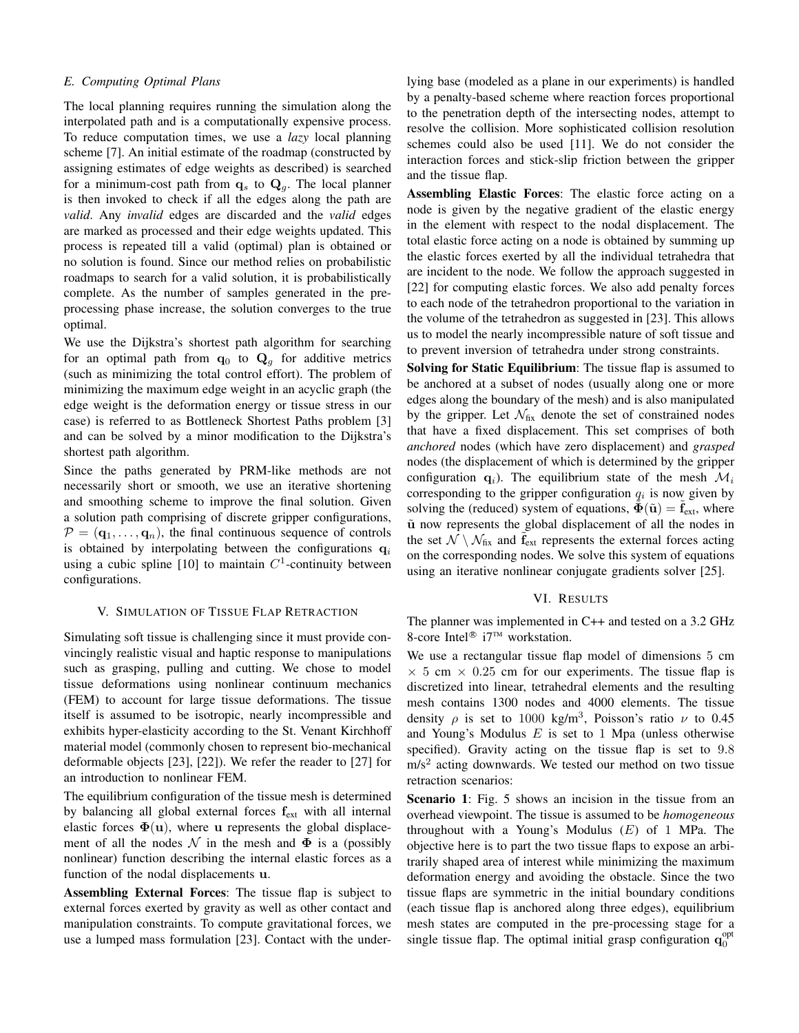# *E. Computing Optimal Plans*

The local planning requires running the simulation along the interpolated path and is a computationally expensive process. To reduce computation times, we use a *lazy* local planning scheme [7]. An initial estimate of the roadmap (constructed by assigning estimates of edge weights as described) is searched for a minimum-cost path from  $\mathbf{q}_s$  to  $\mathbf{Q}_q$ . The local planner is then invoked to check if all the edges along the path are *valid*. Any *invalid* edges are discarded and the *valid* edges are marked as processed and their edge weights updated. This process is repeated till a valid (optimal) plan is obtained or no solution is found. Since our method relies on probabilistic roadmaps to search for a valid solution, it is probabilistically complete. As the number of samples generated in the preprocessing phase increase, the solution converges to the true optimal.

We use the Dijkstra's shortest path algorithm for searching for an optimal path from  $\mathbf{q}_0$  to  $\mathbf{Q}_g$  for additive metrics (such as minimizing the total control effort). The problem of minimizing the maximum edge weight in an acyclic graph (the edge weight is the deformation energy or tissue stress in our case) is referred to as Bottleneck Shortest Paths problem [3] and can be solved by a minor modification to the Dijkstra's shortest path algorithm.

Since the paths generated by PRM-like methods are not necessarily short or smooth, we use an iterative shortening and smoothing scheme to improve the final solution. Given a solution path comprising of discrete gripper configurations,  $\mathcal{P} = (\mathbf{q}_1, \dots, \mathbf{q}_n)$ , the final continuous sequence of controls is obtained by interpolating between the configurations  $q_i$ using a cubic spline [10] to maintain  $C<sup>1</sup>$ -continuity between configurations.

## V. SIMULATION OF TISSUE FLAP RETRACTION

Simulating soft tissue is challenging since it must provide convincingly realistic visual and haptic response to manipulations such as grasping, pulling and cutting. We chose to model tissue deformations using nonlinear continuum mechanics (FEM) to account for large tissue deformations. The tissue itself is assumed to be isotropic, nearly incompressible and exhibits hyper-elasticity according to the St. Venant Kirchhoff material model (commonly chosen to represent bio-mechanical deformable objects [23], [22]). We refer the reader to [27] for an introduction to nonlinear FEM.

The equilibrium configuration of the tissue mesh is determined by balancing all global external forces  $f_{ext}$  with all internal elastic forces  $\Phi(\mathbf{u})$ , where u represents the global displacement of all the nodes N in the mesh and  $\Phi$  is a (possibly nonlinear) function describing the internal elastic forces as a function of the nodal displacements u.

Assembling External Forces: The tissue flap is subject to external forces exerted by gravity as well as other contact and manipulation constraints. To compute gravitational forces, we use a lumped mass formulation [23]. Contact with the underlying base (modeled as a plane in our experiments) is handled by a penalty-based scheme where reaction forces proportional to the penetration depth of the intersecting nodes, attempt to resolve the collision. More sophisticated collision resolution schemes could also be used [11]. We do not consider the interaction forces and stick-slip friction between the gripper and the tissue flap.

Assembling Elastic Forces: The elastic force acting on a node is given by the negative gradient of the elastic energy in the element with respect to the nodal displacement. The total elastic force acting on a node is obtained by summing up the elastic forces exerted by all the individual tetrahedra that are incident to the node. We follow the approach suggested in [22] for computing elastic forces. We also add penalty forces to each node of the tetrahedron proportional to the variation in the volume of the tetrahedron as suggested in [23]. This allows us to model the nearly incompressible nature of soft tissue and to prevent inversion of tetrahedra under strong constraints.

Solving for Static Equilibrium: The tissue flap is assumed to be anchored at a subset of nodes (usually along one or more edges along the boundary of the mesh) and is also manipulated by the gripper. Let  $\mathcal{N}_{fix}$  denote the set of constrained nodes that have a fixed displacement. This set comprises of both *anchored* nodes (which have zero displacement) and *grasped* nodes (the displacement of which is determined by the gripper configuration  $q_i$ ). The equilibrium state of the mesh  $\mathcal{M}_i$ corresponding to the gripper configuration  $q_i$  is now given by solving the (reduced) system of equations,  $\Phi(\tilde{u}) = f_{ext}$ , where  $\tilde{u}$  now represents the global displacement of all the nodes in the set  $\mathcal{N} \setminus \mathcal{N}_{fix}$  and  $f_{ext}$  represents the external forces acting on the corresponding nodes. We solve this system of equations using an iterative nonlinear conjugate gradients solver [25].

### VI. RESULTS

The planner was implemented in C++ and tested on a 3.2 GHz 8-core Intel<sup>®</sup> i7<sup>™</sup> workstation.

We use a rectangular tissue flap model of dimensions 5 cm  $\times$  5 cm  $\times$  0.25 cm for our experiments. The tissue flap is discretized into linear, tetrahedral elements and the resulting mesh contains 1300 nodes and 4000 elements. The tissue density  $\rho$  is set to 1000 kg/m<sup>3</sup>, Poisson's ratio  $\nu$  to 0.45 and Young's Modulus  $E$  is set to 1 Mpa (unless otherwise specified). Gravity acting on the tissue flap is set to 9.8  $m/s<sup>2</sup>$  acting downwards. We tested our method on two tissue retraction scenarios:

Scenario 1: Fig. 5 shows an incision in the tissue from an overhead viewpoint. The tissue is assumed to be *homogeneous* throughout with a Young's Modulus  $(E)$  of 1 MPa. The objective here is to part the two tissue flaps to expose an arbitrarily shaped area of interest while minimizing the maximum deformation energy and avoiding the obstacle. Since the two tissue flaps are symmetric in the initial boundary conditions (each tissue flap is anchored along three edges), equilibrium mesh states are computed in the pre-processing stage for a single tissue flap. The optimal initial grasp configuration  $\mathbf{q}_0^{\text{opt}}$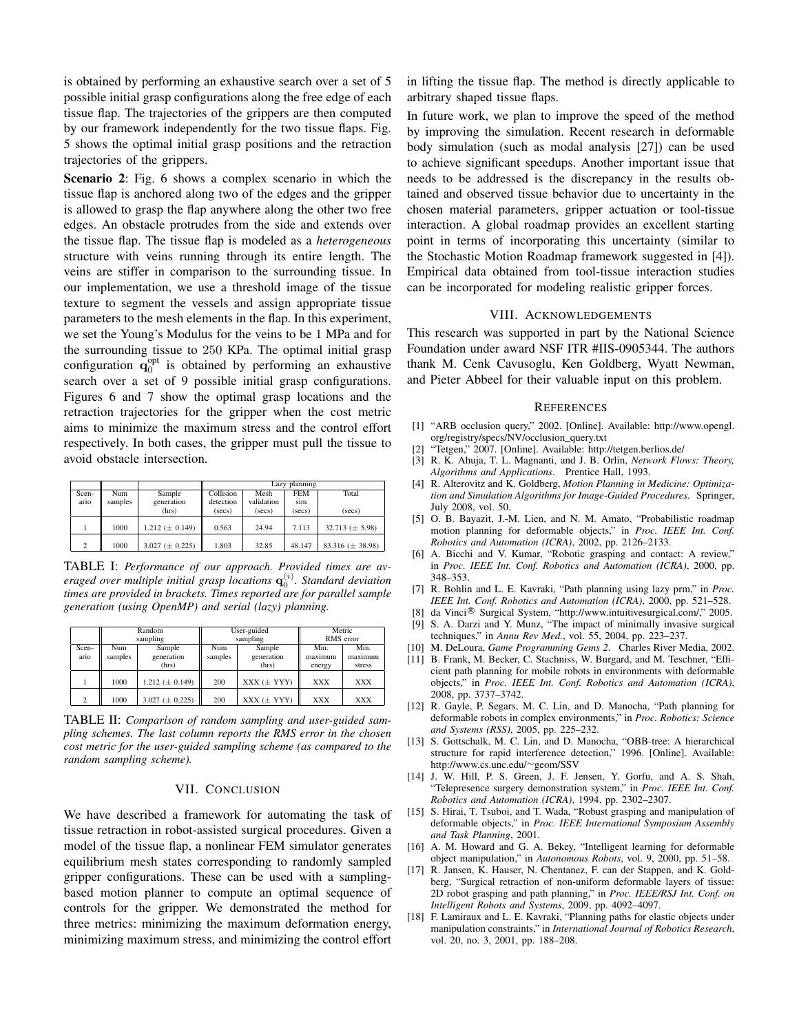is obtained by performing an exhaustive search over a set of 5 possible initial grasp configurations along the free edge of each tissue flap. The trajectories of the grippers are then computed by our framework independently for the two tissue flaps. Fig. 5 shows the optimal initial grasp positions and the retraction trajectories of the grippers.

Scenario 2: Fig. 6 shows a complex scenario in which the tissue flap is anchored along two of the edges and the gripper is allowed to grasp the flap anywhere along the other two free edges. An obstacle protrudes from the side and extends over the tissue flap. The tissue flap is modeled as a *heterogeneous* structure with veins running through its entire length. The veins are stiffer in comparison to the surrounding tissue. In our implementation, we use a threshold image of the tissue texture to segment the vessels and assign appropriate tissue parameters to the mesh elements in the flap. In this experiment, we set the Young's Modulus for the veins to be 1 MPa and for the surrounding tissue to 250 KPa. The optimal initial grasp configuration  $\mathbf{q}_0^{\text{opt}}$  is obtained by performing an exhaustive search over a set of 9 possible initial grasp configurations. Figures 6 and 7 show the optimal grasp locations and the retraction trajectories for the gripper when the cost metric aims to minimize the maximum stress and the control effort respectively. In both cases, the gripper must pull the tissue to avoid obstacle intersection.

|              |         |                      | Lazy planning |            |            |                       |  |
|--------------|---------|----------------------|---------------|------------|------------|-----------------------|--|
| Scen-        | Num     | Sample               | Collision     | Mesh       | <b>FEM</b> | Total                 |  |
| ario         | samples | generation           | detection     | validation | sim        |                       |  |
|              |         | (hrs)                | (secs)        | (secs)     | (secs)     | (secs)                |  |
|              |         |                      |               |            |            |                       |  |
|              | 1000    | 1.212 $(\pm 0.149)$  | 0.563         | 24.94      | 7.113      | 32.713 $(\pm 5.98)$   |  |
|              |         |                      |               |            |            |                       |  |
| <sup>1</sup> | 1000    | 3.027 ( $\pm$ 0.225) | 1.803         | 32.85      | 48.147     | 83.316 ( $\pm$ 38.98) |  |

TABLE I: *Performance of our approach. Provided times are av*eraged over multiple initial grasp locations  $\mathbf{q}_0^{(i)}$ . Standard deviation *times are provided in brackets. Times reported are for parallel sample generation (using OpenMP) and serial (lazy) planning.*

|       | Random   |                       | User-guided |                 | Metric     |            |
|-------|----------|-----------------------|-------------|-----------------|------------|------------|
|       | sampling |                       |             | sampling        | RMS error  |            |
| Scen- | Num      | Sample                | Num         | Sample          | Min.       | Min.       |
| ario  | samples  | generation            | samples     | generation      | maximum    | maximum    |
|       |          | (hrs)                 |             | (hrs)           | energy     | stress     |
|       | 1000     | 1.212 $(\pm 0.149)$   | 200         | $XXX (\pm YYY)$ | <b>XXX</b> | <b>XXX</b> |
|       |          |                       |             |                 |            |            |
| 2     | 1000     | $3.027 \ (\pm 0.225)$ | 200         | $XXX (\pm YYY)$ | <b>XXX</b> | <b>XXX</b> |

TABLE II: *Comparison of random sampling and user-guided sampling schemes. The last column reports the RMS error in the chosen cost metric for the user-guided sampling scheme (as compared to the random sampling scheme).*

# VII. CONCLUSION

We have described a framework for automating the task of tissue retraction in robot-assisted surgical procedures. Given a model of the tissue flap, a nonlinear FEM simulator generates equilibrium mesh states corresponding to randomly sampled gripper configurations. These can be used with a samplingbased motion planner to compute an optimal sequence of controls for the gripper. We demonstrated the method for three metrics: minimizing the maximum deformation energy, minimizing maximum stress, and minimizing the control effort

in lifting the tissue flap. The method is directly applicable to arbitrary shaped tissue flaps.

In future work, we plan to improve the speed of the method by improving the simulation. Recent research in deformable body simulation (such as modal analysis [27]) can be used to achieve significant speedups. Another important issue that needs to be addressed is the discrepancy in the results obtained and observed tissue behavior due to uncertainty in the chosen material parameters, gripper actuation or tool-tissue interaction. A global roadmap provides an excellent starting point in terms of incorporating this uncertainty (similar to the Stochastic Motion Roadmap framework suggested in [4]). Empirical data obtained from tool-tissue interaction studies can be incorporated for modeling realistic gripper forces.

# VIII. ACKNOWLEDGEMENTS

This research was supported in part by the National Science Foundation under award NSF ITR #IIS-0905344. The authors thank M. Cenk Cavusoglu, Ken Goldberg, Wyatt Newman, and Pieter Abbeel for their valuable input on this problem.

#### **REFERENCES**

- [1] "ARB occlusion query," 2002. [Online]. Available: http://www.opengl. org/registry/specs/NV/occlusion query.txt
	- "Tetgen," 2007. [Online]. Available: http://tetgen.berlios.de/
- [3] R. K. Ahuja, T. L. Magnanti, and J. B. Orlin, *Network Flows: Theory, Algorithms and Applications*. Prentice Hall, 1993.
- [4] R. Alterovitz and K. Goldberg, *Motion Planning in Medicine: Optimization and Simulation Algorithms for Image-Guided Procedures*. Springer, July 2008, vol. 50.
- [5] O. B. Bayazit, J.-M. Lien, and N. M. Amato, "Probabilistic roadmap motion planning for deformable objects," in *Proc. IEEE Int. Conf. Robotics and Automation (ICRA)*, 2002, pp. 2126–2133.
- [6] A. Bicchi and V. Kumar, "Robotic grasping and contact: A review," in *Proc. IEEE Int. Conf. Robotics and Automation (ICRA)*, 2000, pp. 348–353.
- [7] R. Bohlin and L. E. Kavraki, "Path planning using lazy prm," in *Proc. IEEE Int. Conf. Robotics and Automation (ICRA)*, 2000, pp. 521–528.
- [8] da Vinci<sup>®</sup> Surgical System, "http://www.intuitivesurgical.com/," 2005.
- [9] S. A. Darzi and Y. Munz, "The impact of minimally invasive surgical techniques," in *Annu Rev Med.*, vol. 55, 2004, pp. 223–237.
- [10] M. DeLoura, *Game Programming Gems 2*. Charles River Media, 2002.
- [11] B. Frank, M. Becker, C. Stachniss, W. Burgard, and M. Teschner, "Efficient path planning for mobile robots in environments with deformable objects," in *Proc. IEEE Int. Conf. Robotics and Automation (ICRA)*, 2008, pp. 3737–3742.
- [12] R. Gayle, P. Segars, M. C. Lin, and D. Manocha, "Path planning for deformable robots in complex environments," in *Proc. Robotics: Science and Systems (RSS)*, 2005, pp. 225–232.
- [13] S. Gottschalk, M. C. Lin, and D. Manocha, "OBB-tree: A hierarchical structure for rapid interference detection," 1996. [Online]. Available: http://www.cs.unc.edu/∼geom/SSV
- [14] J. W. Hill, P. S. Green, J. F. Jensen, Y. Gorfu, and A. S. Shah, "Telepresence surgery demonstration system," in *Proc. IEEE Int. Conf. Robotics and Automation (ICRA)*, 1994, pp. 2302–2307.
- [15] S. Hirai, T. Tsuboi, and T. Wada, "Robust grasping and manipulation of deformable objects," in *Proc. IEEE International Symposium Assembly and Task Planning*, 2001.
- [16] A. M. Howard and G. A. Bekey, "Intelligent learning for deformable object manipulation," in *Autonomous Robots*, vol. 9, 2000, pp. 51–58.
- [17] R. Jansen, K. Hauser, N. Chentanez, F. can der Stappen, and K. Goldberg, "Surgical retraction of non-uniform deformable layers of tissue: 2D robot grasping and path planning," in *Proc. IEEE/RSJ Int. Conf. on Intelligent Robots and Systems*, 2009, pp. 4092–4097.
- [18] F. Lamiraux and L. E. Kavraki, "Planning paths for elastic objects under manipulation constraints," in *International Journal of Robotics Research*, vol. 20, no. 3, 2001, pp. 188–208.